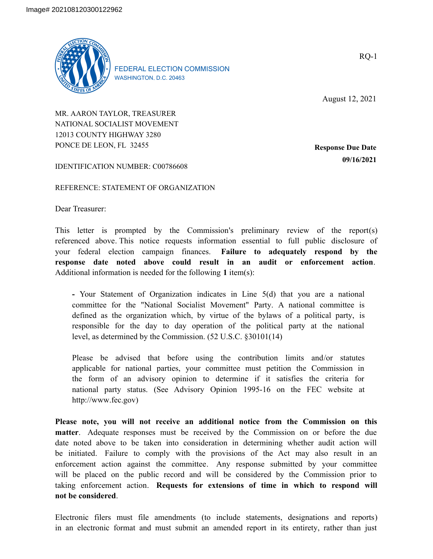

FEDERAL ELECTION COMMISSION WASHINGTON, D.C. 20463

RQ-1

August 12, 2021

MR. AARON TAYLOR, TREASURER NATIONAL SOCIALIST MOVEMENT 12013 COUNTY HIGHWAY 3280 PONCE DE LEON, FL 32455

**Response Due Date 09/16/2021**

IDENTIFICATION NUMBER: C00786608

REFERENCE: STATEMENT OF ORGANIZATION

Dear Treasurer:

This letter is prompted by the Commission's preliminary review of the report(s) referenced above. This notice requests information essential to full public disclosure of your federal election campaign finances. **Failure to adequately respond by the response date noted above could result in an audit or enforcement action**. Additional information is needed for the following **1** item(s):

**-** Your Statement of Organization indicates in Line 5(d) that you are a national committee for the "National Socialist Movement" Party. A national committee is defined as the organization which, by virtue of the bylaws of a political party, is responsible for the day to day operation of the political party at the national level, as determined by the Commission. (52 U.S.C. §30101(14)

Please be advised that before using the contribution limits and/or statutes applicable for national parties, your committee must petition the Commission in the form of an advisory opinion to determine if it satisfies the criteria for national party status. (See Advisory Opinion 1995-16 on the FEC website at http://www.fec.gov)

**Please note, you will not receive an additional notice from the Commission on this matter**. Adequate responses must be received by the Commission on or before the due date noted above to be taken into consideration in determining whether audit action will be initiated. Failure to comply with the provisions of the Act may also result in an enforcement action against the committee. Any response submitted by your committee will be placed on the public record and will be considered by the Commission prior to taking enforcement action. **Requests for extensions of time in which to respond will not be considered**.

Electronic filers must file amendments (to include statements, designations and reports) in an electronic format and must submit an amended report in its entirety, rather than just